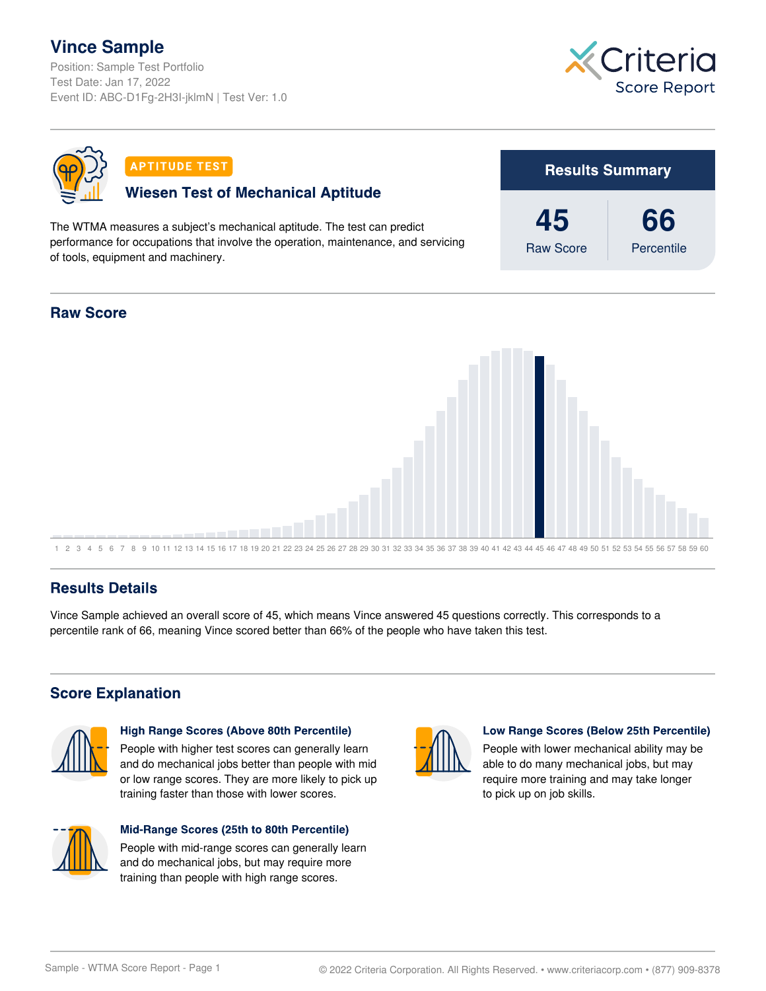# **Vince Sample**

Position: Sample Test Portfolio Test Date: Jan 17, 2022 Event ID: ABC-D1Fg-2H3I-jklmN | Test Ver: 1.0





### **Results Details**

Vince Sample achieved an overall score of 45, which means Vince answered 45 questions correctly. This corresponds to a percentile rank of 66, meaning Vince scored better than 66% of the people who have taken this test.

## **Score Explanation**



#### **High Range Scores (Above 80th Percentile)**

People with higher test scores can generally learn and do mechanical jobs better than people with mid or low range scores. They are more likely to pick up training faster than those with lower scores.



#### Mid-Range Scores (25th to 80th Percentile)

People with mid-range scores can generally learn and do mechanical jobs, but may require more training than people with high range scores.



#### Low Range Scores (Below 25th Percentile)

People with lower mechanical ability may be able to do many mechanical jobs, but may require more training and may take longer to pick up on job skills.